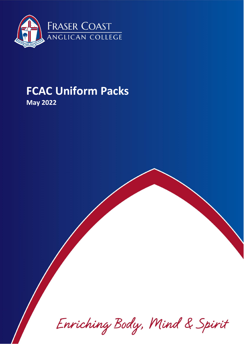

# **FCAC Uniform Packs**

**May 2022**

Enriching Body, Mind & Spirit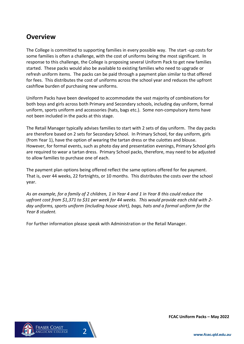# **Overview**

The College is committed to supporting families in every possible way. The start -up costs for some families is often a challenge, with the cost of uniforms being the most significant. In response to this challenge, the College is proposing several Uniform Pack to get new families started. These packs would also be available to existing families who need to upgrade or refresh uniform items. The packs can be paid through a payment plan similar to that offered for fees. This distributes the cost of uniforms across the school year and reduces the upfront cashflow burden of purchasing new uniforms.

Uniform Packs have been developed to accommodate the vast majority of combinations for both boys and girls across both Primary and Secondary schools, including day uniform, formal uniform, sports uniform and accessories (hats, bags etc.). Some non-compulsory items have not been included in the packs at this stage.

The Retail Manager typically advises families to start with 2 sets of day uniform. The day packs are therefore based on 2 sets for Secondary School. In Primary School, for day uniform, girls (from Year 1), have the option of wearing the tartan dress or the culottes and blouse. However, for formal events, such as photo day and presentation evenings, Primary School girls are required to wear a tartan dress. Primary School packs, therefore, may need to be adjusted to allow families to purchase one of each.

The payment plan options being offered reflect the same options offered for fee payment. That is, over 44 weeks, 22 fortnights, or 10 months. This distributes the costs over the school year.

*As an example, for a family of 2 children, 1 in Year 4 and 1 in Year 8 this could reduce the upfront cost from \$1,371 to \$31 per week for 44 weeks. This would provide each child with 2 day uniforms, sports uniform (including house shirt), bags, hats and a formal uniform for the Year 8 student.*

For further information please speak with Administration or the Retail Manager.



**FCAC Uniform Packs – May 2022**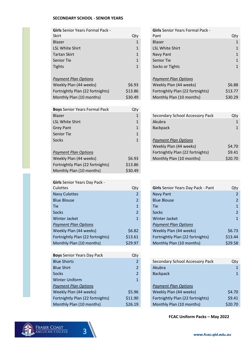#### **SECONDARY SCHOOL - SENIOR YEARS**

| <b>Girls</b> Senior Years Formal Pack - |              | <b>Girls</b> Senior Years Formal Pack - |              |
|-----------------------------------------|--------------|-----------------------------------------|--------------|
| <b>Skirt</b>                            | Qty          | Pant                                    | Qty          |
| <b>Blazer</b>                           | $\mathbf{1}$ | <b>Blazer</b>                           | $\mathbf{1}$ |
| <b>LSL White Shirt</b>                  | $\mathbf{1}$ | <b>LSL White Shirt</b>                  | $\mathbf{1}$ |
| <b>Tartan Skirt</b>                     | $\mathbf{1}$ | <b>Navy Pant</b>                        | $\mathbf{1}$ |
| <b>Senior Tie</b>                       | $\mathbf{1}$ | Senior Tie                              | $\mathbf{1}$ |
| <b>Tights</b>                           | $\mathbf{1}$ | Socks or Tights                         | $\mathbf{1}$ |
|                                         |              |                                         |              |
| <b>Payment Plan Options</b>             |              | <b>Payment Plan Options</b>             |              |
| Weekly Plan (44 weeks)                  | \$6.93       | Weekly Plan (44 weeks)                  | \$6.88       |
| Fortnightly Plan (22 fortnights)        | \$13.86      | Fortnightly Plan (22 fortnights)        | \$13.77      |
| Monthly Plan (10 months)                | \$30.49      | Monthly Plan (10 months)                | \$30.29      |
|                                         |              |                                         |              |

| <b>Boys</b> Senior Years Formal Pack | Qty          |                             |
|--------------------------------------|--------------|-----------------------------|
| Blazer                               | 1            | Secondary School Acc        |
| <b>LSL White Shirt</b>               | $\mathbf{1}$ | Akubra                      |
| <b>Grey Pant</b>                     | 1            | <b>Backpack</b>             |
| <b>Senior Tie</b>                    | $\mathbf{1}$ |                             |
| Socks                                | 1            | <b>Payment Plan Options</b> |
|                                      |              | Weekly Plan (44 week        |
| <b>Payment Plan Options</b>          |              | Fortnightly Plan (22 fo     |
| Weekly Plan (44 weeks)               | \$6.93       | Monthly Plan (10 mon        |
| Fortnightly Plan (22 fortnights)     | \$13.86      |                             |
| Monthly Plan (10 months)             | \$30.49      |                             |

| <b>Girls Senior Years Day Pack -</b> |                |                                    |                |
|--------------------------------------|----------------|------------------------------------|----------------|
| Culottes                             | Qty            | Girls Senior Years Day Pack - Pant | Qty            |
| Navy Culottes                        | $\overline{2}$ | Navy Pant                          | $\overline{a}$ |
| <b>Blue Blouse</b>                   | $\overline{2}$ | <b>Blue Blouse</b>                 | $\overline{a}$ |
| <b>Tie</b>                           | $\mathbf{1}$   | <b>Tie</b>                         | $\mathbf{1}$   |
| <b>Socks</b>                         | $\overline{2}$ | Socks                              | $\overline{a}$ |
| <b>Winter Jacket</b>                 | $\mathbf{1}$   | <b>Winter Jacket</b>               | $\mathbf{1}$   |
| <b>Payment Plan Options</b>          |                | <b>Payment Plan Options</b>        |                |
| Weekly Plan (44 weeks)               | \$6.82         | Weekly Plan (44 weeks)             | \$6.73         |
| Fortnightly Plan (22 fortnights)     | \$13.61        | Fortnightly Plan (22 fortnights)   | \$13.44        |
| Monthly Plan (10 months)             | \$29.97        | Monthly Plan (10 months)           | \$29.58        |
|                                      |                |                                    |                |

| <b>Boys Senior Years Day Pack</b> | Qty            |                                  |              |
|-----------------------------------|----------------|----------------------------------|--------------|
| <b>Blue Shorts</b>                | $\overline{2}$ | Secondary School Accessory Pack  | Qty          |
| <b>Blue Shirt</b>                 | $\overline{2}$ | Akubra                           | $\mathbf{1}$ |
| Socks                             | $\overline{2}$ | <b>Backpack</b>                  | $\mathbf{1}$ |
| <b>Winter Uniform</b>             | $\mathbf{1}$   |                                  |              |
| <b>Payment Plan Options</b>       |                | <b>Payment Plan Options</b>      |              |
| Weekly Plan (44 weeks)            | \$5.96         | Weekly Plan (44 weeks)           | \$4.70       |
| Fortnightly Plan (22 fortnights)  | \$11.90        | Fortnightly Plan (22 fortnights) | \$9.41       |
| Monthly Plan (10 months)          | \$26.19        | Monthly Plan (10 months)         | \$20.70      |

| <b>Girls</b> Senior Years Formal Pack - |              |
|-----------------------------------------|--------------|
| Pant                                    | Qtv          |
| Blazer                                  | 1            |
| <b>LSL White Shirt</b>                  | 1            |
| Navy Pant                               | $\mathbf{1}$ |
| Senior Tie                              | 1            |
| Socks or Tights                         | 1            |
|                                         |              |
| <b>Payment Plan Options</b>             |              |
| Weekly Plan (44 weeks)                  | \$6.88       |
| Fortnightly Plan (22 fortnights)        | \$13.77      |
| Monthly Plan (10 months)                | S30.29       |

| Blazer                      | 1      | Secondary School Accessory Pack  | Qty     |
|-----------------------------|--------|----------------------------------|---------|
| <b>LSL White Shirt</b>      |        | Akubra                           |         |
| <b>Grey Pant</b>            |        | <b>Backpack</b>                  |         |
| Senior Tie                  |        |                                  |         |
| <b>Socks</b>                | 1      | <b>Payment Plan Options</b>      |         |
|                             |        | Weekly Plan (44 weeks)           | \$4.70  |
| <b>Payment Plan Options</b> |        | Fortnightly Plan (22 fortnights) | \$9.41  |
| Weekly Plan (44 weeks)      | \$6.93 | Monthly Plan (10 months)         | \$20.70 |
|                             |        |                                  |         |

| <b>Culottes</b>                  | Qty     | Girls Senior Years Day Pack - Pant | Qty            |
|----------------------------------|---------|------------------------------------|----------------|
| <b>Navy Culottes</b>             |         | <b>Navy Pant</b>                   |                |
| <b>Blue Blouse</b>               | 2       | <b>Blue Blouse</b>                 | 2              |
| Tie                              |         | <b>Tie</b>                         |                |
| <b>Socks</b>                     |         | <b>Socks</b>                       | $\overline{2}$ |
| Winter Jacket                    |         | <b>Winter Jacket</b>               |                |
| <b>Payment Plan Options</b>      |         | <b>Payment Plan Options</b>        |                |
| Weekly Plan (44 weeks)           | \$6.82  | Weekly Plan (44 weeks)             | \$6.73         |
| Fortnightly Plan (22 fortnights) | \$13.61 | Fortnightly Plan (22 fortnights)   | \$13.44        |
| Monthly Plan (10 months)         | \$29.97 | Monthly Plan (10 months)           | \$29.58        |
|                                  |         |                                    |                |

| <b>Blue Shorts</b>               | 2       | Secondary School Accessory Pack  | Qty     |
|----------------------------------|---------|----------------------------------|---------|
| <b>Blue Shirt</b>                |         | Akubra                           |         |
| <b>Socks</b>                     |         | <b>Backpack</b>                  |         |
| <b>Winter Uniform</b>            |         |                                  |         |
| <b>Payment Plan Options</b>      |         | <b>Payment Plan Options</b>      |         |
| Weekly Plan (44 weeks)           | \$5.96  | Weekly Plan (44 weeks)           | \$4.70  |
| Fortnightly Plan (22 fortnights) | \$11.90 | Fortnightly Plan (22 fortnights) | \$9.41  |
| Monthly Plan (10 months)         | \$26.19 | Monthly Plan (10 months)         | \$20.70 |
|                                  |         |                                  |         |

#### **FCAC Uniform Packs – May 2022**



Day Uniform

Formal Uniform

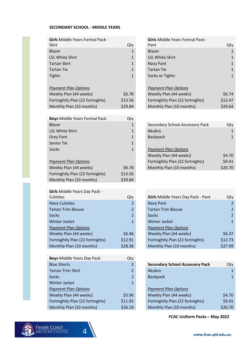### **SECONDARY SCHOOL - MIDDLE YEARS**

| <b>Girls Middle Years Formal Pack -</b><br>Skirt | Qty            | <b>Girls Middle Years Formal Pack -</b><br>Pant | Qty            |
|--------------------------------------------------|----------------|-------------------------------------------------|----------------|
| Blazer                                           | $\mathbf{1}$   | Blazer                                          | $\mathbf{1}$   |
| <b>LSL White Shirt</b>                           | $\mathbf{1}$   | <b>LSL White Shirt</b>                          | $\mathbf{1}$   |
| <b>Tartan Skirt</b>                              | $\mathbf{1}$   | Navy Pant                                       | $\mathbf{1}$   |
| <b>Tartan Tie</b>                                | $\mathbf{1}$   | <b>Tartan Tie</b>                               | $\mathbf{1}$   |
| <b>Tights</b>                                    | $\mathbf{1}$   | Socks or Tights                                 | $\mathbf{1}$   |
|                                                  |                |                                                 |                |
| <b>Payment Plan Options</b>                      |                | <b>Payment Plan Options</b>                     |                |
| Weekly Plan (44 weeks)                           | \$6.78         | Weekly Plan (44 weeks)                          | \$6.74         |
| Fortnightly Plan (22 fortnights)                 | \$13.56        | Fortnightly Plan (22 fortnights)                | \$13.47        |
| Monthly Plan (10 months)                         | \$29.84        | Monthly Plan (10 months)                        | \$29.64        |
|                                                  |                |                                                 |                |
| <b>Boys Middle Years Formal Pack</b>             | Qty            |                                                 |                |
| <b>Blazer</b>                                    | $\mathbf{1}$   | Secondary School Accessory Pack                 | Qty            |
| <b>LSL White Shirt</b>                           | $\mathbf{1}$   | Akubra                                          | $\mathbf{1}$   |
| <b>Grey Pant</b>                                 | $\mathbf{1}$   | <b>Backpack</b>                                 | $\mathbf{1}$   |
| <b>Senior Tie</b>                                | $\mathbf{1}$   |                                                 |                |
| Socks                                            | $\mathbf{1}$   | <b>Payment Plan Options</b>                     |                |
|                                                  |                | Weekly Plan (44 weeks)                          | \$4.70         |
| <b>Payment Plan Options</b>                      |                | Fortnightly Plan (22 fortnights)                | \$9.41         |
| Weekly Plan (44 weeks)                           | \$6.78         | Monthly Plan (10 months)                        | \$20.70        |
| Fortnightly Plan (22 fortnights)                 | \$13.56        |                                                 |                |
| Monthly Plan (10 months)                         | \$29.84        |                                                 |                |
| Girls Middle Years Day Pack -                    |                |                                                 |                |
| Culottes                                         | Qty            | Girls Middle Years Day Pack - Pant              | Qty            |
| <b>Navy Culottes</b>                             | $\overline{2}$ | <b>Navy Pant</b>                                | $\overline{2}$ |
| <b>Tartan Trim Blouse</b>                        | $\overline{2}$ | <b>Tartan Trim Blouse</b>                       | $\overline{2}$ |
| Socks                                            | $\overline{2}$ | <b>Socks</b>                                    | $\overline{2}$ |
| Winter Jacket                                    | $\mathbf{1}$   | Winter Jacket                                   | $\mathbf{1}$   |
| <b>Payment Plan Options</b>                      |                | <b>Payment Plan Options</b>                     |                |
| Weekly Plan (44 weeks)                           | \$6.46         | Weekly Plan (44 weeks)                          | \$6.37         |
| Fortnightly Plan (22 fortnights)                 | \$12.91        | Fortnightly Plan (22 fortnights)                | \$12.73        |
| Monthly Plan (10 months)                         | \$28.38        | Monthly Plan (10 months)                        | \$27.99        |
|                                                  |                |                                                 |                |
| <b>Boys Middle Years Day Pack</b>                | Qty            |                                                 |                |
| <b>Blue Shorts</b>                               | $\overline{2}$ | <b>Secondary School Accessory Pack</b>          | Qty            |
| <b>Tartan Trim Shirt</b>                         | $\overline{2}$ | Akubra                                          | $\mathbf{1}$   |
| <b>Socks</b>                                     | $\overline{2}$ | <b>Backpack</b>                                 | $\mathbf{1}$   |
| Winter Jacket                                    | $\mathbf{1}$   |                                                 |                |
| <b>Payment Plan Options</b>                      |                | <b>Payment Plan Options</b>                     |                |
| Weekly Plan (44 weeks)                           | \$5.96         | Weekly Plan (44 weeks)                          | \$4.70         |
| Fortnightly Plan (22 fortnights)                 | \$11.92        | Fortnightly Plan (22 fortnights)                | \$9.41         |
| Monthly Plan (10 months)                         | \$26.19        | Monthly Plan (10 months)                        | \$20.70        |
|                                                  |                |                                                 |                |

| <b>Girls</b> Middle Years Formal Pack - |         | <b>Girls Middle Years Formal Pack -</b> |         |
|-----------------------------------------|---------|-----------------------------------------|---------|
| Skirt                                   | Qty     | Pant                                    | Qty     |
| Blazer                                  | 1       | <b>Blazer</b>                           |         |
| <b>LSL White Shirt</b>                  | 1       | <b>LSL White Shirt</b>                  |         |
| Tartan Skirt                            | 1       | Navy Pant                               |         |
| Tartan Tie                              | 1       | <b>Tartan Tie</b>                       |         |
| <b>Tights</b>                           | 1       | Socks or Tights                         | 1       |
| <b>Payment Plan Options</b>             |         | <b>Payment Plan Options</b>             |         |
| Weekly Plan (44 weeks)                  | \$6.78  | Weekly Plan (44 weeks)                  | \$6.74  |
| Fortnightly Plan (22 fortnights)        | \$13.56 | Fortnightly Plan (22 fortnights)        | \$13.47 |
| Monthly Plan (10 months)                | \$29.84 | Monthly Plan (10 months)                | \$29.64 |
|                                         |         |                                         |         |
| <b>Boys Middle Years Formal Pack</b>    | Qty     |                                         |         |
| Blazer                                  | 1       | Secondary School Accessory Pack         | Qty     |
| <b>LSL White Shirt</b>                  |         | Akubra                                  |         |
|                                         |         |                                         |         |

| <b>Grey Pant</b>            |        | <b>Backpack</b>                  |         |
|-----------------------------|--------|----------------------------------|---------|
| Senior Tie                  |        |                                  |         |
| <b>Socks</b>                |        | <b>Payment Plan Options</b>      |         |
|                             |        | Weekly Plan (44 weeks)           | \$4.70  |
| <b>Payment Plan Options</b> |        | Fortnightly Plan (22 fortnights) | \$9.41  |
| Weekly Plan (44 weeks)      | \$6.78 | Monthly Plan (10 months)         | \$20.70 |
|                             |        |                                  |         |

| <b>UIII</b> S IVIIUUIT TTAIS DAY FALN T |                |                                    |                |
|-----------------------------------------|----------------|------------------------------------|----------------|
| <b>Culottes</b>                         | Qty            | Girls Middle Years Day Pack - Pant | Qty            |
| <b>Navy Culottes</b>                    | $\overline{2}$ | <b>Navy Pant</b>                   |                |
| <b>Tartan Trim Blouse</b>               | 2              | <b>Tartan Trim Blouse</b>          |                |
| <b>Socks</b>                            | $\overline{2}$ | Socks                              | $\overline{2}$ |
| Winter Jacket                           | $\mathbf{1}$   | Winter Jacket                      | 1              |
| <b>Payment Plan Options</b>             |                | <b>Payment Plan Options</b>        |                |
| Weekly Plan (44 weeks)                  | \$6.46         | Weekly Plan (44 weeks)             | \$6.37         |
| Fortnightly Plan (22 fortnights)        | \$12.91        | Fortnightly Plan (22 fortnights)   | \$12.73        |
| Monthly Plan (10 months)                | \$28.38        | Monthly Plan (10 months)           | \$27.99        |
|                                         |                |                                    |                |

| <b>Secondary School Accessory Pack</b> | Qtv     |
|----------------------------------------|---------|
| Akubra                                 | 1       |
| <b>Backpack</b>                        | 1       |
|                                        |         |
| <b>Payment Plan Options</b>            |         |
| Weekly Plan (44 weeks)                 | \$4.70  |
| Fortnightly Plan (22 fortnights)       | \$9.41  |
| Monthly Plan (10 months)               | \$20.70 |
|                                        |         |

## **FCAC Uniform Packs – May 2022**



Day Uniform

Formal Uniform

4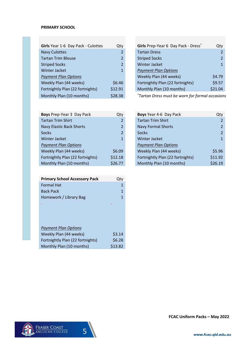#### **PRIMARY SCHOOL**

| Girls Year 1-6 Day Pack - Culottes | Qty            | Girls Prep-Year 6 Day       |
|------------------------------------|----------------|-----------------------------|
| <b>Navy Culottes</b>               | 2              | <b>Tartan Dress</b>         |
| <b>Tartan Trim Blouse</b>          | $\overline{2}$ | <b>Striped Socks</b>        |
| <b>Striped Socks</b>               | $\overline{2}$ | <b>Winter Jacket</b>        |
| Winter Jacket                      | $\mathbf{1}$   | <b>Payment Plan Options</b> |
| <b>Payment Plan Options</b>        |                | Weekly Plan (44 week        |
| Weekly Plan (44 weeks)             | \$6.46         | Fortnightly Plan (22 fo     |
| Fortnightly Plan (22 fortnights)   | \$12.91        | Monthly Plan (10 mon        |
| Monthly Plan (10 months)           | \$28.38        | *Tartan Dress must be       |

| Girls Year 1-6 Day Pack - Culottes | Qty            | Girls Prep-Year 6 Day Pack - Dress* | Qty     |
|------------------------------------|----------------|-------------------------------------|---------|
| <b>Navy Culottes</b>               | 2              | <b>Tartan Dress</b>                 |         |
| <b>Tartan Trim Blouse</b>          | $\overline{2}$ | <b>Striped Socks</b>                |         |
| <b>Striped Socks</b>               | 2              | <b>Winter Jacket</b>                |         |
| <b>Winter Jacket</b>               | $\mathbf{1}$   | <b>Payment Plan Options</b>         |         |
| <b>Payment Plan Options</b>        |                | Weekly Plan (44 weeks)              | \$4.79  |
| Weekly Plan (44 weeks)             | \$6.46         | Fortnightly Plan (22 fortnights)    | \$9.57  |
| Fortnightly Plan (22 fortnights)   | \$12.91        | Monthly Plan (10 months)            | \$21.04 |
|                                    |                |                                     |         |

 $*$ Tartan Dress must be worn for formal occasions

| Boys Prep-Year 3 Day Pack        | Qty            | Boys Year 4-6 Day Pack           | Qty            |
|----------------------------------|----------------|----------------------------------|----------------|
| <b>Tartan Trim Shirt</b>         |                | <b>Tartan Trim Shirt</b>         | $\mathcal{P}$  |
| <b>Navy Elastic Back Shorts</b>  | $\overline{2}$ | <b>Navy Formal Shorts</b>        | $\overline{2}$ |
| <b>Socks</b>                     |                | <b>Socks</b>                     | $\overline{2}$ |
| <b>Winter Jacket</b>             |                | Winter Jacket                    | $\mathbf{1}$   |
| <b>Payment Plan Options</b>      |                | <b>Payment Plan Options</b>      |                |
| Weekly Plan (44 weeks)           | \$6.09         | Weekly Plan (44 weeks)           | \$5.96         |
| Fortnightly Plan (22 fortnights) | \$12.18        | Fortnightly Plan (22 fortnights) | \$11.92        |
| Monthly Plan (10 months)         | \$26.77        | Monthly Plan (10 months)         | \$26.19        |

| <b>Primary School Accessory Pack</b> | Qtv     |
|--------------------------------------|---------|
| <b>Formal Hat</b>                    | 1       |
| <b>Back Pack</b>                     | 1       |
| Homework / Library Bag               | 1       |
|                                      |         |
|                                      |         |
|                                      |         |
|                                      |         |
| <b>Payment Plan Options</b>          |         |
| Weekly Plan (44 weeks)               | \$3.14  |
| Fortnightly Plan (22 fortnights)     | \$6.28  |
| Monthly Plan (10 months)             | \$13.82 |

| Boys Prep-Year 3 Day Pack        | Qty            | Boys Year 4-6 Day Pack           | Qty     |
|----------------------------------|----------------|----------------------------------|---------|
| <b>Tartan Trim Shirt</b>         | 2              | <b>Tartan Trim Shirt</b>         |         |
| Navy Elastic Back Shorts         | 2              | <b>Navy Formal Shorts</b>        |         |
| Socks                            | $\overline{2}$ | Socks                            | 2       |
| <b>Winter Jacket</b>             |                | Winter Jacket                    |         |
| <b>Payment Plan Options</b>      |                | <b>Payment Plan Options</b>      |         |
| Weekly Plan (44 weeks)           | \$6.09         | Weekly Plan (44 weeks)           | \$5.96  |
| Fortnightly Plan (22 fortnights) | \$12.18        | Fortnightly Plan (22 fortnights) | \$11.92 |
| Monthly Plan (10 months)         | \$26.77        | Monthly Plan (10 months)         | \$26.19 |



Day UniformJ.